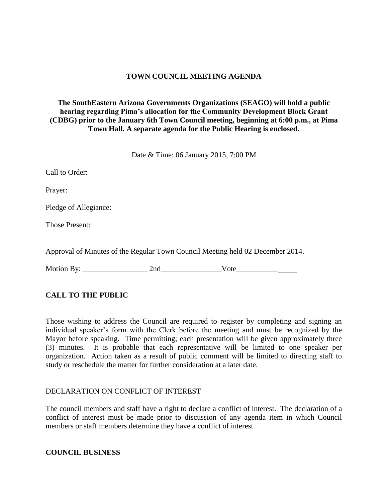## **TOWN COUNCIL MEETING AGENDA**

### **The SouthEastern Arizona Governments Organizations (SEAGO) will hold a public hearing regarding Pima's allocation for the Community Development Block Grant (CDBG) prior to the January 6th Town Council meeting, beginning at 6:00 p.m., at Pima Town Hall. A separate agenda for the Public Hearing is enclosed.**

Date & Time: 06 January 2015, 7:00 PM

| Call to Order:                                                                 |
|--------------------------------------------------------------------------------|
| Prayer:                                                                        |
| Pledge of Allegiance:                                                          |
| <b>Those Present:</b>                                                          |
| Approval of Minutes of the Regular Town Council Meeting held 02 December 2014. |

Motion By: 2nd Vote

# **CALL TO THE PUBLIC**

Those wishing to address the Council are required to register by completing and signing an individual speaker's form with the Clerk before the meeting and must be recognized by the Mayor before speaking. Time permitting; each presentation will be given approximately three (3) minutes. It is probable that each representative will be limited to one speaker per organization. Action taken as a result of public comment will be limited to directing staff to study or reschedule the matter for further consideration at a later date.

### DECLARATION ON CONFLICT OF INTEREST

The council members and staff have a right to declare a conflict of interest. The declaration of a conflict of interest must be made prior to discussion of any agenda item in which Council members or staff members determine they have a conflict of interest.

#### **COUNCIL BUSINESS**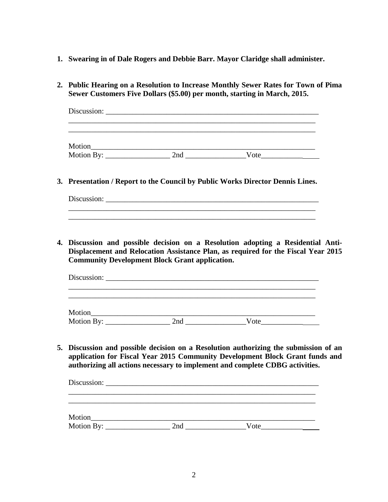- **1. Swearing in of Dale Rogers and Debbie Barr. Mayor Claridge shall administer.**
- **2. Public Hearing on a Resolution to Increase Monthly Sewer Rates for Town of Pima Sewer Customers Five Dollars (\$5.00) per month, starting in March, 2015.**

| Discussion: 2008  |     |      |  |
|-------------------|-----|------|--|
|                   |     |      |  |
| Motion_____       |     |      |  |
| Motion By: $\_\_$ | 2nd | Vote |  |

**3. Presentation / Report to the Council by Public Works Director Dennis Lines.**

| $\mathbf{r}$<br>$\sim$<br>-- |  |  |  |
|------------------------------|--|--|--|
|                              |  |  |  |
|                              |  |  |  |

\_\_\_\_\_\_\_\_\_\_\_\_\_\_\_\_\_\_\_\_\_\_\_\_\_\_\_\_\_\_\_\_\_\_\_\_\_\_\_\_\_\_\_\_\_\_\_\_\_\_\_\_\_\_\_\_\_\_\_\_\_\_\_\_\_

**4. Discussion and possible decision on a Resolution adopting a Residential Anti-Displacement and Relocation Assistance Plan, as required for the Fiscal Year 2015 Community Development Block Grant application.**

| Motion     |     |      |  |
|------------|-----|------|--|
| Motion By: | 2nd | Vote |  |

**5. Discussion and possible decision on a Resolution authorizing the submission of an application for Fiscal Year 2015 Community Development Block Grant funds and authorizing all actions necessary to implement and complete CDBG activities.** 

| Motion |     |      |  |
|--------|-----|------|--|
|        | 2nd | Vote |  |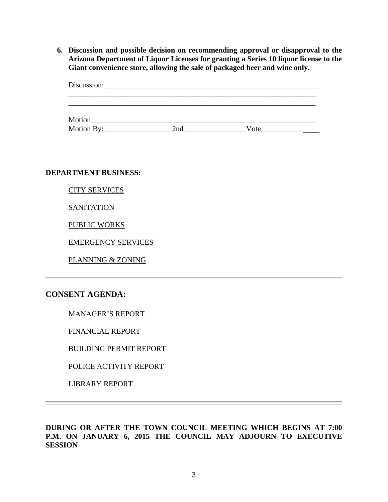**6. Discussion and possible decision on recommending approval or disapproval to the Arizona Department of Liquor Licenses for granting a Series 10 liquor license to the Giant convenience store, allowing the sale of packaged beer and wine only.** 

|            | Discussion: $\qquad \qquad$ |      |  |
|------------|-----------------------------|------|--|
|            |                             |      |  |
|            |                             |      |  |
| Motion     |                             |      |  |
| Motion By: | 2nd                         | Vote |  |

**DEPARTMENT BUSINESS:**

CITY SERVICES

**SANITATION** 

PUBLIC WORKS

EMERGENCY SERVICES

PLANNING & ZONING

# **CONSENT AGENDA:**

MANAGER'S REPORT

FINANCIAL REPORT

BUILDING PERMIT REPORT

POLICE ACTIVITY REPORT

LIBRARY REPORT

**DURING OR AFTER THE TOWN COUNCIL MEETING WHICH BEGINS AT 7:00 P.M. ON JANUARY 6, 2015 THE COUNCIL MAY ADJOURN TO EXECUTIVE SESSION**